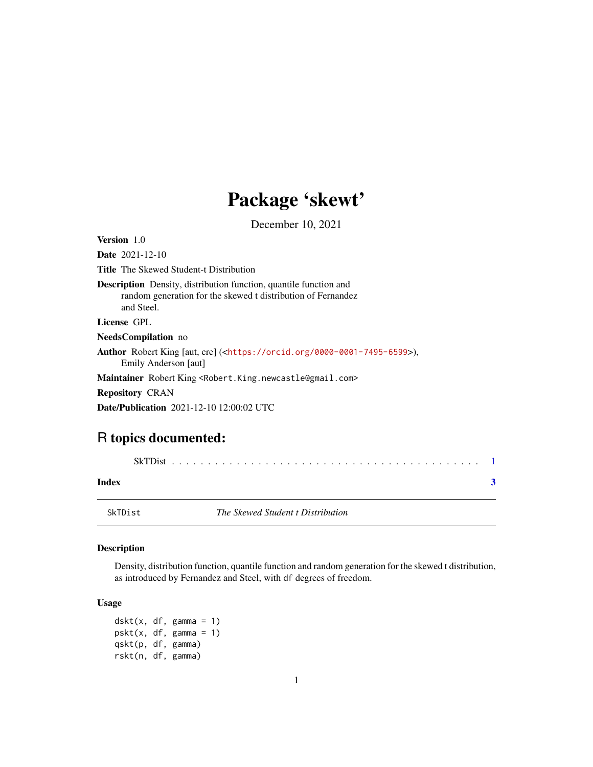## Package 'skewt'

December 10, 2021

<span id="page-0-1"></span><span id="page-0-0"></span>

| <b>Version</b> 1.0                                                                                                                                     |
|--------------------------------------------------------------------------------------------------------------------------------------------------------|
| <b>Date</b> $2021 - 12 - 10$                                                                                                                           |
| <b>Title</b> The Skewed Student-t Distribution                                                                                                         |
| <b>Description</b> Density, distribution function, quantile function and<br>random generation for the skewed t distribution of Fernandez<br>and Steel. |
| License GPL                                                                                                                                            |
| <b>NeedsCompilation</b> no                                                                                                                             |
| <b>Author</b> Robert King [aut, cre] ( <https: 0000-0001-7495-6599="" orcid.org="">),<br/>Emily Anderson [aut]</https:>                                |
| <b>Maintainer</b> Robert King <robert.king.newcastle@gmail.com></robert.king.newcastle@gmail.com>                                                      |
| <b>Repository CRAN</b>                                                                                                                                 |
| <b>Date/Publication</b> 2021-12-10 12:00:02 UTC                                                                                                        |
|                                                                                                                                                        |

### R topics documented:

| Index |  |
|-------|--|

SkTDist *The Skewed Student t Distribution*

#### Description

Density, distribution function, quantile function and random generation for the skewed t distribution, as introduced by Fernandez and Steel, with df degrees of freedom.

#### Usage

 $dskt(x, df, gamma = 1)$ pskt(x, df, gamma = 1) qskt(p, df, gamma) rskt(n, df, gamma)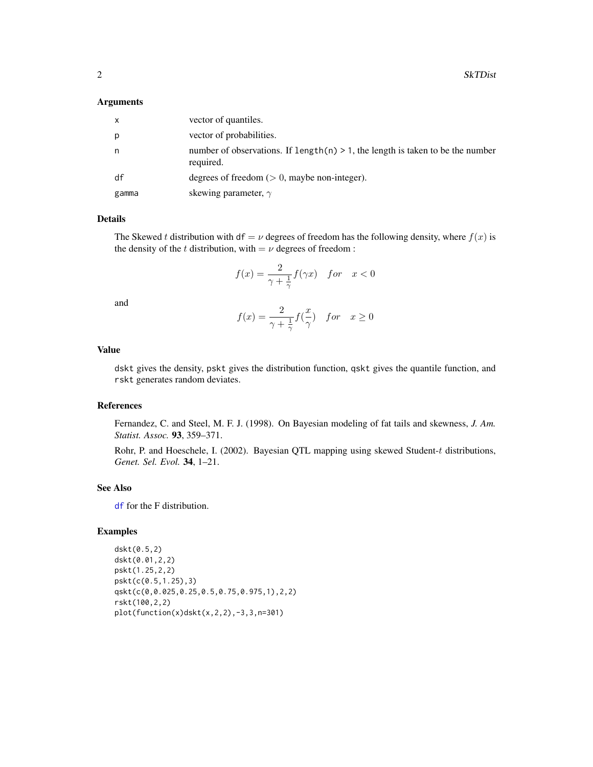<span id="page-1-0"></span>2 SkTDist

#### Arguments

| x     | vector of quantiles.                                                                           |
|-------|------------------------------------------------------------------------------------------------|
| р     | vector of probabilities.                                                                       |
| n     | number of observations. If $length(n) > 1$ , the length is taken to be the number<br>required. |
| df    | degrees of freedom $(> 0$ , maybe non-integer).                                                |
| gamma | skewing parameter, $\gamma$                                                                    |

#### Details

The Skewed t distribution with df =  $\nu$  degrees of freedom has the following density, where  $f(x)$  is the density of the t distribution, with  $=$   $\nu$  degrees of freedom :

$$
f(x) = \frac{2}{\gamma + \frac{1}{\gamma}} f(\gamma x) \quad \text{for} \quad x < 0
$$

and

$$
f(x) = \frac{2}{\gamma + \frac{1}{\gamma}} f(\frac{x}{\gamma}) \quad for \quad x \ge 0
$$

#### Value

dskt gives the density, pskt gives the distribution function, qskt gives the quantile function, and rskt generates random deviates.

#### References

Fernandez, C. and Steel, M. F. J. (1998). On Bayesian modeling of fat tails and skewness, *J. Am. Statist. Assoc.* 93, 359–371.

Rohr, P. and Hoeschele, I. (2002). Bayesian QTL mapping using skewed Student-t distributions, *Genet. Sel. Evol.* 34, 1–21.

#### See Also

[df](#page-0-1) for the F distribution.

#### Examples

```
dskt(0.5,2)
dskt(0.01,2,2)
pskt(1.25,2,2)
pskt(c(0.5,1.25),3)
qskt(c(0,0.025,0.25,0.5,0.75,0.975,1),2,2)
rskt(100,2,2)
plot(function(x)dskt(x,2,2),-3,3,n=301)
```